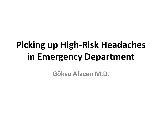# **Picking up High-Risk Headaches in Emergency Department**

**Göksu Afacan M.D.**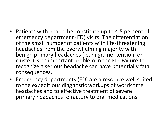- Patients with headache constitute up to 4.5 percent of emergency department (ED) visits. The differentiation of the small number of patients with life-threatening headaches from the overwhelming majority with benign primary headaches (ie, migraine, tension, or cluster) is an important problem in the ED. Failure to recognize a serious headache can have potentially fatal consequences.
- Emergency departments (ED) are a resource well suited to the expeditious diagnostic workups of worrisome headaches and to effective treatment of severe primary headaches refractory to oral medications.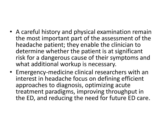- A careful history and physical examination remain the most important part of the assessment of the headache patient; they enable the clinician to determine whether the patient is at significant risk for a dangerous cause of their symptoms and what additional workup is necessary.
- Emergency-medicine clinical researchers with an interest in headache focus on defining efficient approaches to diagnosis, optimizing acute treatment paradigms, improving throughput in the ED, and reducing the need for future ED care.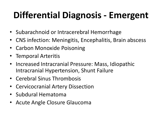# **Differential Diagnosis - Emergent**

- Subarachnoid or Intracerebral Hemorrhage
- CNS infection: Meningitis, Encephalitis, Brain abscess
- Carbon Monoxide Poisoning
- Temporal Arteritis
- Increased Intracranial Pressure: Mass, Idiopathic Intracranial Hypertension, Shunt Failure
- Cerebral Sinus Thrombosis
- Cervicocranial Artery Dissection
- Subdural Hematoma
- Acute Angle Closure Glaucoma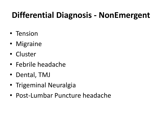#### **Differential Diagnosis - NonEmergent**

- Tension
- Migraine
- Cluster
- Febrile headache
- Dental, TMJ
- Trigeminal Neuralgia
- Post-Lumbar Puncture headache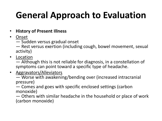# **General Approach to Evaluation**

#### • **History of Present Illness**

• Onset

— Sudden versus gradual onset

— Rest versus exertion (including cough, bowel movement, sexual activity)

• Location

— Although this is not reliable for diagnosis, in a constellation of symptoms can point toward a specific type of headache.

• Aggravators/Alleviators

— Worse with awakening/bending over (increased intracranial pressure)

— Comes and goes with specific enclosed settings (carbon monoxide)

— Others with similar headache in the household or place of work (carbon monoxide)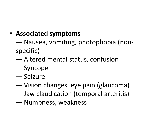#### • **Associated symptoms**

- Nausea, vomiting, photophobia (nonspecific)
- Altered mental status, confusion
- Syncope
- Seizure
- Vision changes, eye pain (glaucoma)
- Jaw claudication (temporal arteritis)
- Numbness, weakness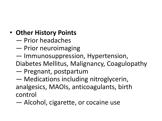#### • **Other History Points**

- Prior headaches
- Prior neuroimaging
- Immunosuppression, Hypertension,
- Diabetes Mellitus, Malignancy, Coagulopathy
- Pregnant, postpartum
- Medications including nitroglycerin, analgesics, MAOIs, anticoagulants, birth control
- Alcohol, cigarette, or cocaine use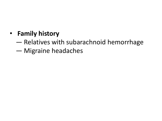#### • **Family history**

- Relatives with subarachnoid hemorrhage
- Migraine headaches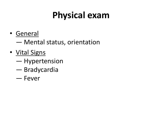# **Physical exam**

- General
	- Mental status, orientation
- Vital Signs
	- Hypertension
	- Bradycardia
	- Fever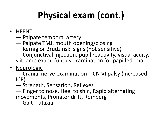# **Physical exam (cont.)**

- HEENT
	- Palpate temporal artery
	- Palpate TMJ, mouth opening/closing
	- Kernig or Brudzinski signs (not sensitive)
	- Conjunctival injection, pupil reactivity, visual acuity, slit lamp exam, fundus examination for papilledema
- Neurologic
	- Cranial nerve examination CN VI palsy (increased ICP)
	- Strength, Sensation, Reflexes
	- Finger to nose, Heel to shin, Rapid alternating movements, Pronator drift, Romberg
	- Gait ataxia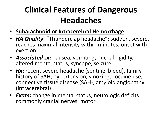- **Subarachnoid or Intracerebral Hemorrhage**
- *HA Quality***:** "Thunderclap headache": sudden, severe, reaches maximal intensity within minutes, onset with exertion
- *Associated sx***:** nausea, vomiting, nuchal rigidity, altered mental status, syncope, seizure
- *Hx*: recent severe headache (sentinel bleed), family history of SAH, hypertension, smoking, cocaine use, connective tissue disease (SAH), amyloid angiopathy (intracerebral)
- *Exam***:** change in mental status, neurologic deficits commonly cranial nerves, motor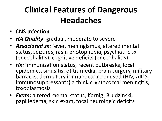- **CNS Infection**
- *HA Quality***:** gradual, moderate to severe
- *Associated sx:* fever, meningismus, altered mental status, seizures, rash, photophobia, psychiatric sx (encephalitis), cognitive deficits (encephalitis)
- *Hx:* immunization status, recent outbreaks, local epidemics, sinusitis, otitis media, brain surgery, military barracks, dormatory immunocompromised (HIV, AIDS, immunosuppressants) à think cryptococcal meningitis, toxoplasmosis
- *Exam:* altered mental status, Kernig, Brudzinski, papilledema, skin exam, focal neurologic deficits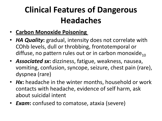- **Carbon Monoxide Poisoning**
- *HA Quality***:** gradual, intensity does not correlate with COhb levels, dull or throbbing, frontotemporal or diffuse, no pattern rules out or in carbon monoxide $_{10}$
- *Associated sx***:** dizziness, fatigue, weakness, nausea, vomiting, confusion, syncope, seizure, chest pain (rare), dyspnea (rare)
- *Hx*: headache in the winter months, household or work contacts with headache, evidence of self harm, ask about suicidal intent
- *Exam***:** confused to comatose, ataxia (severe)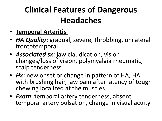- **Temporal Arteritis**
- *HA Quality***:** gradual, severe, throbbing, unilateral frontotemporal
- *Associated sx***:** jaw claudication, vision changes/loss of vision, polymyalgia rheumatic, scalp tenderness
- *Hx*: new onset or change in pattern of HA, HA with brushing hair, jaw pain after latency of tough chewing localized at the muscles
- *Exam***:** temporal artery tenderness, absent temporal artery pulsation, change in visual acuity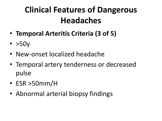- **Temporal Arteritis Criteria (3 of 5)**
- $\cdot$  >50y
- New-onset localized headache
- Temporal artery tenderness or decreased pulse
- ESR >50mm/H
- Abnormal arterial biopsy findings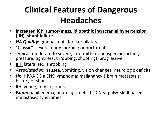- **Increased ICP: tumor/mass, idiopathic intracranial hypertension (IIH), shunt failure**
- *HA Quality***:** gradual, unilateral or bilateral
- "Classic": severe, early morning or nocturnal
- Typical: moderate to severe, intermittent, nonspecific (aching, pressure, tightness, throbbing, shooting), progressive
- IIH: lateralized, throbbing
- *Associated sx***:** nausea, vomiting, vision changes, neurologic deficits
- *Hx***:** HIV/AIDS à CNS lymphoma; malignancy à brain metastasis; history of shunt
- IIH: young, female, obese
- *Exam***:** papilledema, neurologic deficits, CN VI palsy, skull-based metastases syndromes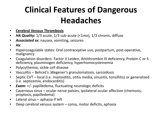- **Cerebral Venous Thrombosis**
- HA Quality: 1/3 acute, 1/3 sub-acute (<1mo), 1/3 chronic, diffuse
- *Associated sx***:** nausea, vomiting, seizures
- *Hx*:
- Hypercoagulable states: Oral contraceptive use, postpartum, post-operative, malignancy
- Coagulation disorders: Factor V Leiden, Antithrombin III deficiency, Protein C or S deficiency, plasminogen deficiency, hyperhomocysteinemia
- Polycythemia, sickle cell disease
- Vasculitis Behcet's ,Wegener's granulomatosis, sarcoidosis
- Septic CVT local (i.e. mastoiditis, otitis media, sinusitis, tonsillitis) or generalized (i.e. septicemia, endocarditis)
- *Exam***:** +/- papilledema, fluctuating neurologic deficits
- Cavernous sinus ocular nerve palsies, ipsilateral ocular affection (chemosis, proptosis, papilledema)
- Lateral sinus aphasia if left
- Deep cerebral venous system coma, motor deficits, aphasia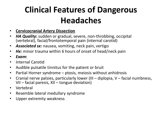- **Cervicocranial Artery Dissection**
- *HA Quality***:** sudden or gradual, severe, non-throbbing, occipital (vertebral), facial/frontotemporal pain (internal carotid)
- *Associated sx***:** nausea, vomiting, neck pain, vertigo
- *Hx***:** minor trauma within 6 hours of onset of head/neck pain
- *Exam***:**
- Internal Carotid
- Audible pulsatile tinnitus for the patient or bruit
- Partial Horner syndrome ptosis, meiosis without anhidrosis
- Cranial nerve palsies, particularly lower (III diplopia, V facial numbness, VII – facial paresis, XII – tongue deviation)
- Vertebral
- Resemble lateral medullary syndrome
- Upper extremity weakness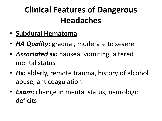- **Subdural Hematoma**
- **HA Quality:** gradual, moderate to severe
- *Associated sx***:** nausea, vomiting, altered mental status
- *Hx*: elderly, remote trauma, history of alcohol abuse, anticoagulation
- *Exam***:** change in mental status, neurologic deficits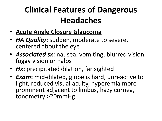- **Acute Angle Closure Glaucoma**
- *HA Quality***:** sudden, moderate to severe, centered about the eye
- *Associated sx***:** nausea, vomiting, blurred vision, foggy vision or halos
- Hx: precipitated dilation, far sighted
- *Exam***:** mid-dilated, globe is hard, unreactive to light, reduced visual acuity, hyperemia more prominent adjacent to limbus, hazy cornea, tonometry >20mmHg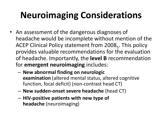# **Neuroimaging Considerations**

- An assessment of the dangerous diagnoses of headache would be incomplete without mention of the ACEP Clinical Policy statement from 2008<sub>5</sub>. This policy provides valuable recommendations for the evaluation of headache. Importantly, the **level B** recommendation for **emergent neuroimaging** includes:
	- **New abnormal finding on neurologic examination** (altered mental status, altered cognitive function, focal deficit) (non-contrast head CT)
	- **New sudden-onset severe headache** (head CT)
	- **HIV-positive patients with new type of headache** (neuroimaging)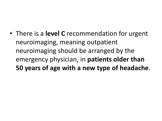• There is a **level C** recommendation for urgent neuroimaging, meaning outpatient neuroimaging should be arranged by the emergency physician, in **patients older than 50 years of age with a new type of headache**.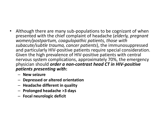- Although there are many sub-populations to be cognizant of when presented with the chief complaint of headache (*elderly, pregnant women/postpartum, coagulopathic patients, those with subacute/subtle trauma, cancer patients*), the immunosuppressed and particularly HIV-positive patients require special consideration. Given the high prevalence of HIV-positive patients with central nervous system complications, approximately 70%, the emergency physician should *order a non-contrast head CT in HIV-positive patients presenting with***:**
	- **New seizure**
	- **Depressed or altered orientation**
	- **Headache different in quality**
	- **Prolonged headache >3 days**
	- **Focal neurologic deficit**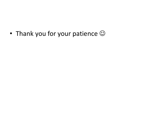• Thank you for your patience  $\odot$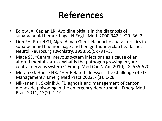- Edlow JA, Caplan LR. Avoiding pitfalls in the diagnosis of subarachnoid hemorrhage. N Engl J Med. 2000;342(1):29–36. 2.
- Linn FH, Rinkel GJ, Algra A, van Gijn J. Headache characteristics in subarachnoid haemorrhage and benign thunderclap headache. J Neurol Neurosurg Psychiatry. 1998;65(5):791–3.
- Mace SE. "Central nervous system infections as a cause of an altered mental status? What is the pathogen growing in your central nervous system?" Emerg Med Clin N Am 2010; 28: 535-570.
- Moran GJ, House HR. "HIV-Related Illnesses: The Challenge of ED Management." Emerg Med Pract 2002; 4(1): 1-28.
- Nikkanen H, Skolnik A. "Diagnosis and management of carbon monoxide poisoning in the emergency department." Emerg Med Pract 2011; 13(2): 1-14.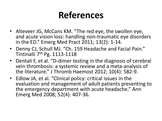- Alteveer JG, McCans KM. "The red eye, the swollen eye, and acute vision loss: handling non-traumatic eye disorders in the ED." Emerg Med Pract 2011; 13(2): 1-14.
- Denny CJ, Schull MJ. "Ch. 159 Headache and Facial Pain." Tintinalli 7<sup>th</sup> Pg. 1113-1118
- Dentali F, et al. "D-dimer testing in the diagnosis of cerebral vein thrombosis: a systemic review and a meta-analysis of the literature." J Thromb Haemost 2012; 10(4): 582-9.
- Edlow JA, et al. "Clinical policy: critical issues in the evaluation and management of adult patients presenting to the emergency department with acute headache." Ann Emerg Med 2008; 52(4): 407-36.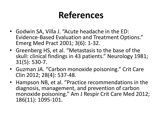- Godwin SA, Villa J. "Acute headache in the ED: Evidence-Based Evaluation and Treatment Options." Emerg Med Pract 2001; 3(6): 1-32.
- Greenberg HS, et al. "Metastasis to the base of the skull: clinical findings in 43 patients." Neurology 1981; 31(5): 530-7.
- Guzman JA. "Carbon monoxide poisoning." Crit Care Clin 2012; 28(4): 537-48.
- Hampson NB, et al. "Practice recommendations in the diagnosis, management, and prevention of carbon monoxide poisoning." Am J Respir Crit Care Med 2012; 186(11): 1095-101.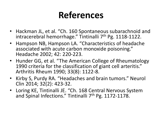- Hackman JL, et al. "Ch. 160 Spontaneous subarachnoid and intracerebral hemorrhage." Tintinalli 7<sup>th</sup> Pg. 1118-1122.
- Hampson NB, Hampson LA. "Characteristics of headache associated with acute carbon monoxide poisoning." Headache 2002; 42: 220-223.
- Hunder GG, et al. "The American College of Rheumatology 1990 criteria for the classification of giant cell arteritis." Arthritis Rheum 1990; 33(8): 1122-8.
- Kirby S, Purdy RA. "Headaches and brain tumors." Neurol Clin 2014; 32(2): 423-32.
- Loring KE, Tintinalli JE. "Ch. 168 Central Nervous System and Spinal Infections." Tintinalli 7<sup>th</sup> Pg. 1172-1178.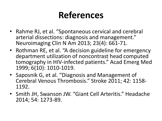- Rahme RJ, et al. "Spontaneous cervical and cerebral arterial dissections: diagnosis and management." Neuroimaging Clin N Am 2013; 23(4): 661-71.
- Rothman RE, et al. "A decision guideline for emergency department utilization of noncontrast head computed tomography in HIV-infected patients." Acad Emerg Med 1999; 6(10): 1010-1019.
- Saposnik G, et al. "Diagnosis and Management of Cerebral Venous Thrombosis." Stroke 2011; 42: 1158- 1192.
- Smith JH, Swanson JW. "Giant Cell Arteritis." Headache 2014; 54: 1273-89.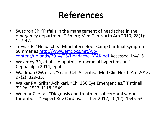- Swadron SP. "Pitfalls in the management of headaches in the emergency department." Emerg Med Clin North Am 2010; 28(1): 127-47.
- Trevias B. "Headache." Mini Intern Boot Camp Cardinal Symptoms Summaries [http://www.emdocs.net/wp](http://www.emdocs.net/wp-content/uploads/2014/05/Headache-BTAK.pdf)[content/uploads/2014/05/Headache-BTAK.pdf](http://www.emdocs.net/wp-content/uploads/2014/05/Headache-BTAK.pdf) Accessed 1/4/15
- Wakerley BR, et al. "Idiopathic intracranial hypertension." Cephalalgia 2014, epub.
- Waldman CW, et al. "Giant Cell Arteritis." Med Clin North Am 2013; 97(2): 329-35.
- Walker RA, Srikar Adhikari. "Ch. 236 Eye Emergencies." Tintinalli 7 th Pg. 1517-1118-1549
- Weimar C, et al. "Diagnosis and treatment of cerebral venous thrombosis." Expert Rev Cardiovasc Ther 2012; 10(12): 1545-53.